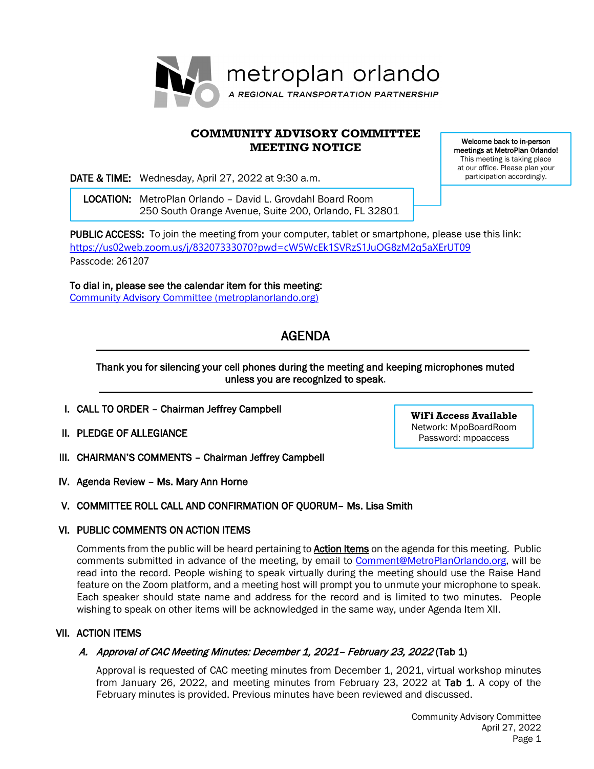

## **COMMUNITY ADVISORY COMMITTEE MEETING NOTICE**

DATE & TIME: Wednesday, April 27, 2022 at 9:30 a.m.

 LOCATION: MetroPlan Orlando – David L. Grovdahl Board Room 250 South Orange Avenue, Suite 200, Orlando, FL 32801

PUBLIC ACCESS: To join the meeting from your computer, tablet or smartphone, please use this link: <https://us02web.zoom.us/j/83207333070?pwd=cW5WcEk1SVRzS1JuOG8zM2g5aXErUT09> Passcode: 261207

To dial in, please see the calendar item for this meeting: [Community Advisory Committee \(metroplanorlando.org\)](https://metroplanorlando.org/meetings/community-advisory-committee-04-27-22/)

# AGENDA

## Thank you for silencing your cell phones during the meeting and keeping microphones muted unless you are recognized to speak.

- I. CALL TO ORDER Chairman Jeffrey Campbell
- II. PLEDGE OF ALLEGIANCE
- III. CHAIRMAN'S COMMENTS Chairman Jeffrey Campbell
- IV. Agenda Review Ms. Mary Ann Horne

# V. COMMITTEE ROLL CALL AND CONFIRMATION OF QUORUM– Ms. Lisa Smith

## VI. PUBLIC COMMENTS ON ACTION ITEMS

Comments from the public will be heard pertaining to **Action Items** on the agenda for this meeting. Public comments submitted in advance of the meeting, by email to [Comment@MetroPlanOrlando.org,](mailto:Comment@MetroPlanOrlando.org) will be read into the record. People wishing to speak virtually during the meeting should use the Raise Hand feature on the Zoom platform, and a meeting host will prompt you to unmute your microphone to speak. Each speaker should state name and address for the record and is limited to two minutes. People wishing to speak on other items will be acknowledged in the same way, under Agenda Item XII.

## VII. ACTION ITEMS

# A. Approval of CAC Meeting Minutes: December 1, 2021– February 23, 2022 (Tab 1)

Approval is requested of CAC meeting minutes from December 1, 2021, virtual workshop minutes from January 26, 2022, and meeting minutes from February 23, 2022 at Tab 1. A copy of the February minutes is provided. Previous minutes have been reviewed and discussed.

**WiFi Access Available** Network: MpoBoardRoom Password: mpoaccess

Welcome back to in-person meetings at MetroPlan Orlando! This meeting is taking place at our office. Please plan your participation accordingly.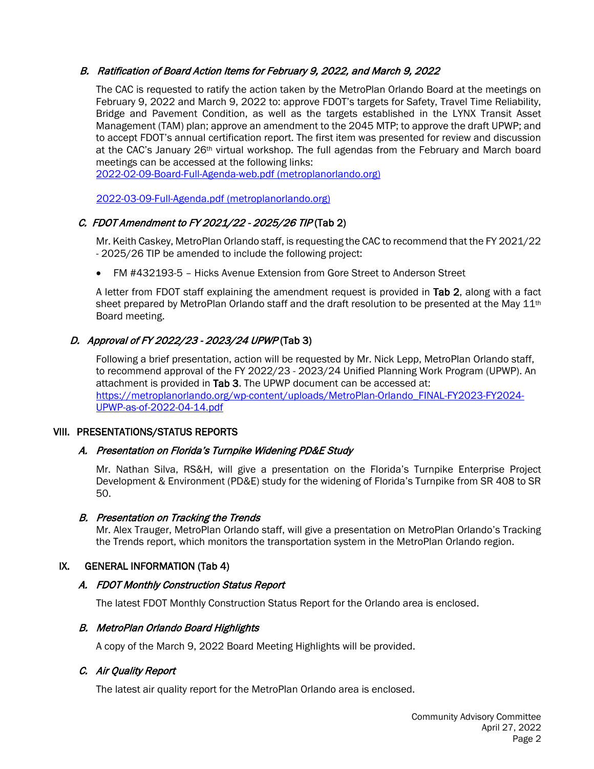## B. Ratification of Board Action Items for February 9, 2022, and March 9, 2022

The CAC is requested to ratify the action taken by the MetroPlan Orlando Board at the meetings on February 9, 2022 and March 9, 2022 to: approve FDOT's targets for Safety, Travel Time Reliability, Bridge and Pavement Condition, as well as the targets established in the LYNX Transit Asset Management (TAM) plan; approve an amendment to the 2045 MTP; to approve the draft UPWP; and to accept FDOT's annual certification report. The first item was presented for review and discussion at the CAC's January 26<sup>th</sup> virtual workshop. The full agendas from the February and March board meetings can be accessed at the following links:

[2022-02-09-Board-Full-Agenda-web.pdf \(metroplanorlando.org\)](https://metroplanorlando.org/wp-content/uploads/2022-02-09-Board-Full-Agenda-web.pdf)

[2022-03-09-Full-Agenda.pdf \(metroplanorlando.org\)](https://metroplanorlando.org/wp-content/uploads/2022-03-09-Full-Agenda.pdf)

# C. FDOT Amendment to FY 2021/22 - 2025/26 TIP (Tab 2)

Mr. Keith Caskey, MetroPlan Orlando staff, is requesting the CAC to recommend that the FY 2021/22 - 2025/26 TIP be amended to include the following project:

• FM #432193-5 – Hicks Avenue Extension from Gore Street to Anderson Street

A letter from FDOT staff explaining the amendment request is provided in Tab 2, along with a fact sheet prepared by MetroPlan Orlando staff and the draft resolution to be presented at the May 11<sup>th</sup> Board meeting.

# D. Approval of FY 2022/23 - 2023/24 UPWP (Tab 3)

Following a brief presentation, action will be requested by Mr. Nick Lepp, MetroPlan Orlando staff, to recommend approval of the FY 2022/23 - 2023/24 Unified Planning Work Program (UPWP). An attachment is provided in Tab 3. The UPWP document can be accessed at: [https://metroplanorlando.org/wp-content/uploads/MetroPlan-Orlando\\_FINAL-FY2023-FY2024-](https://metroplanorlando.org/wp-content/uploads/MetroPlan-Orlando_FINAL-FY2023-FY2024-UPWP-as-of-2022-04-14.pdf) [UPWP-as-of-2022-04-14.pdf](https://metroplanorlando.org/wp-content/uploads/MetroPlan-Orlando_FINAL-FY2023-FY2024-UPWP-as-of-2022-04-14.pdf)

#### VIII. PRESENTATIONS/STATUS REPORTS

## A. Presentation on Florida's Turnpike Widening PD&E Study

Mr. Nathan Silva, RS&H, will give a presentation on the Florida's Turnpike Enterprise Project Development & Environment (PD&E) study for the widening of Florida's Turnpike from SR 408 to SR 50.

## B. Presentation on Tracking the Trends

Mr. Alex Trauger, MetroPlan Orlando staff, will give a presentation on MetroPlan Orlando's Tracking the Trends report, which monitors the transportation system in the MetroPlan Orlando region.

## IX. GENERAL INFORMATION (Tab 4)

## A. FDOT Monthly Construction Status Report

The latest FDOT Monthly Construction Status Report for the Orlando area is enclosed.

## B. MetroPlan Orlando Board Highlights

A copy of the March 9, 2022 Board Meeting Highlights will be provided.

## C. Air Quality Report

The latest air quality report for the MetroPlan Orlando area is enclosed.